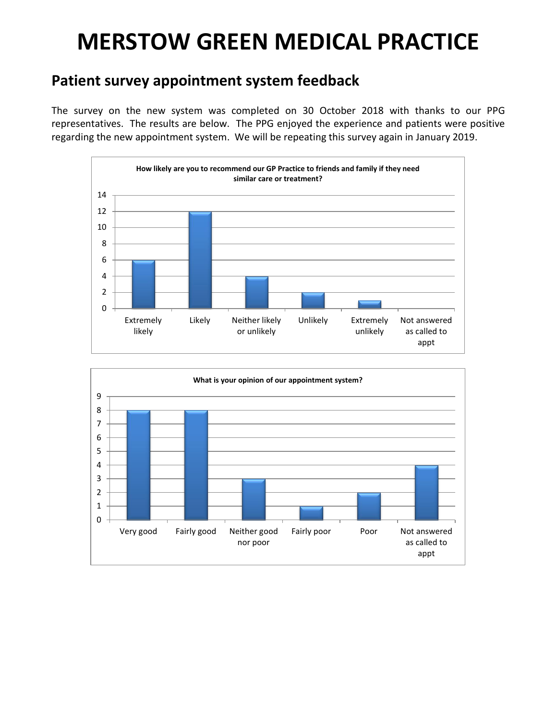## **MERSTOW GREEN MEDICAL PRACTICE**

## **Patient survey appointment system feedback**

The survey on the new system was completed on 30 October 2018 with thanks to our PPG representatives. The results are below. The PPG enjoyed the experience and patients were positive regarding the new appointment system. We will be repeating this survey again in January 2019.